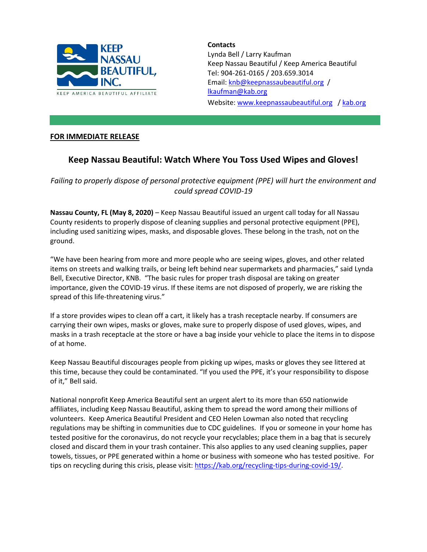

**Contacts** Lynda Bell / Larry Kaufman Keep Nassau Beautiful / Keep America Beautiful Tel: 904-261-0165 / 203.659.3014 Email: [knb@keepnassaubeautiful.org](mailto:knb@keepnassaubeautiful.org) / lkaufman@kab.org Website: [www.keepnassaubeautiful.org](http://www.keepnassaubeautiful.org/) / [kab.org](http://www.kab.org/)

## **FOR IMMEDIATE RELEASE**

## **Keep Nassau Beautiful: Watch Where You Toss Used Wipes and Gloves!**

*Failing to properly dispose of personal protective equipment (PPE) will hurt the environment and could spread COVID-19*

**Nassau County, FL (May 8, 2020)** – Keep Nassau Beautiful issued an urgent call today for all Nassau County residents to properly dispose of cleaning supplies and personal protective equipment (PPE), including used sanitizing wipes, masks, and disposable gloves. These belong in the trash, not on the ground.

"We have been hearing from more and more people who are seeing wipes, gloves, and other related items on streets and walking trails, or being left behind near supermarkets and pharmacies," said Lynda Bell, Executive Director, KNB. "The basic rules for proper trash disposal are taking on greater importance, given the COVID-19 virus. If these items are not disposed of properly, we are risking the spread of this life-threatening virus."

If a store provides wipes to clean off a cart, it likely has a trash receptacle nearby. If consumers are carrying their own wipes, masks or gloves, make sure to properly dispose of used gloves, wipes, and masks in a trash receptacle at the store or have a bag inside your vehicle to place the items in to dispose of at home.

Keep Nassau Beautiful discourages people from picking up wipes, masks or gloves they see littered at this time, because they could be contaminated. "If you used the PPE, it's your responsibility to dispose of it," Bell said.

National nonprofit Keep America Beautiful sent an urgent alert to its more than 650 nationwide affiliates, including Keep Nassau Beautiful, asking them to spread the word among their millions of volunteers. Keep America Beautiful President and CEO Helen Lowman also noted that recycling regulations may be shifting in communities due to CDC guidelines. If you or someone in your home has tested positive for the coronavirus, do not recycle your recyclables; place them in a bag that is securely closed and discard them in your trash container. This also applies to any used cleaning supplies, paper towels, tissues, or PPE generated within a home or business with someone who has tested positive. For tips on recycling during this crisis, please visit: [https://kab.org/recycling-tips-during-covid-19/.](https://kab.org/recycling-tips-during-covid-19/)